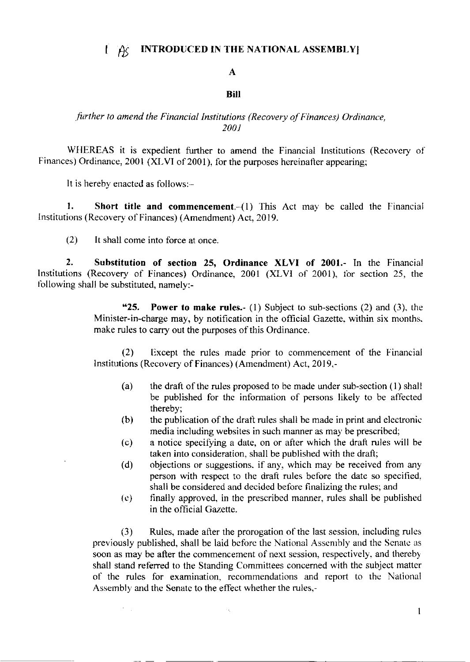# $1-\beta$  INTRODUCED IN THE NATIONAL ASSEMBLY

### A

## **Bill**

# further to amend the Financial Institutions (Recovery of Finances) Ordinance, 2001

WHEREAS it is expedient further to amend the Financial Institutions (Recovery of Finances) Ordinance, 2001 (XLVI of 2001), for the purposes hereinafter appearing;

It is hereby enacted as follows:-

1. Short title and commencement.- $(1)$  This Act may be called the Financial Institutions (Recovery of Finances) (Amendment) Act, 2019.

(2) It shall come into force at once.

2. Substitution of section 25, Ordinance XLVI of 2001.- In the Financial lnstitutions (Recovery of Finances) Ordinance, 2001 (XLVI of 2001), for section 25, the following shall be substituted, namely:-

> "25. Power to make rules. $\cdot$  (1) Subject to sub-sections (2) and (3), the Minister-in-charge may, by notification in the official Gazette. within six months. make rules to carry out the purposes of this Ordinance.

> (2) lixcept the rules made prior to commencement of the Financial lnstitutions (Recovery of Finances) (Amendment) Act, 2019,-

- (a) the draft of the rules proposed to be made under sub-section  $(1)$  shall be published for the information of persons likely to be affected thereby;
- $(b)$  the publication of the draft rules shall be made in print and electronic media including websites in such manner as may be prescribed;
- (c) a notice specify'ing a date, on or afler rvhich the draft rules will be taken into consideration, shall be published with the draft;
- (d) objections or suggestions. if any, which may be received from any person with respect to the draft rules befbre the date so specified. shall be considered and decided before finalizing the rules; and
- (e) finally approved, in the prescribcd manner, rules shall be published in the official Gazette.

(3) Rules, made after the prorogation of the last session. including rulcs previously published, shall be laid before the National Assembly and the Senate as soon as may be after the commencement of next session, respectively, and thereby shall stand referred to the Standing Committees concerned with the subject matter of the rules for examination. recommendations and report to thc National Assembly and the Senate to the effect whether the rules,-

Ġ,

 $\mathbf{1}$